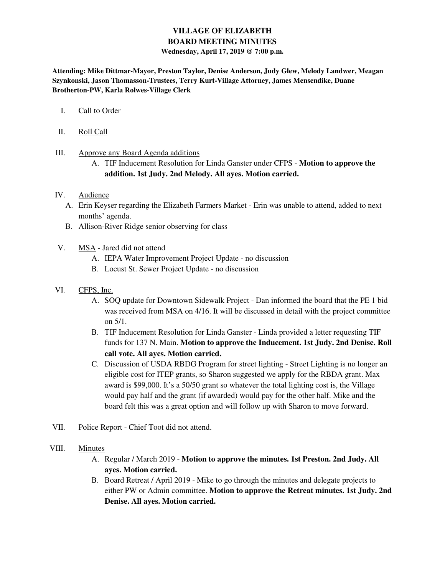# **VILLAGE OF ELIZABETH BOARD MEETING MINUTES Wednesday, April 17, 2019 @ 7:00 p.m.**

**Attending: Mike Dittmar-Mayor, Preston Taylor, Denise Anderson, Judy Glew, Melody Landwer, Meagan Szynkonski, Jason Thomasson-Trustees, Terry Kurt-Village Attorney, James Mensendike, Duane Brotherton-PW, Karla Rolwes-Village Clerk** 

- I. Call to Order
- II. Roll Call
- III. Approve any Board Agenda additions
	- A. TIF Inducement Resolution for Linda Ganster under CFPS **Motion to approve the addition. 1st Judy. 2nd Melody. All ayes. Motion carried.**

#### IV. Audience

- A. Erin Keyser regarding the Elizabeth Farmers Market Erin was unable to attend, added to next months' agenda.
- B. Allison-River Ridge senior observing for class
- V. MSA Jared did not attend
	- A. IEPA Water Improvement Project Update no discussion
	- B. Locust St. Sewer Project Update no discussion
- VI. CFPS, Inc.
	- A. SOQ update for Downtown Sidewalk Project Dan informed the board that the PE 1 bid was received from MSA on 4/16. It will be discussed in detail with the project committee on 5/1.
	- B. TIF Inducement Resolution for Linda Ganster Linda provided a letter requesting TIF funds for 137 N. Main. **Motion to approve the Inducement. 1st Judy. 2nd Denise. Roll call vote. All ayes. Motion carried.**
	- C. Discussion of USDA RBDG Program for street lighting Street Lighting is no longer an eligible cost for ITEP grants, so Sharon suggested we apply for the RBDA grant. Max award is \$99,000. It's a 50/50 grant so whatever the total lighting cost is, the Village would pay half and the grant (if awarded) would pay for the other half. Mike and the board felt this was a great option and will follow up with Sharon to move forward.
- VII. Police Report Chief Toot did not attend.
- VIII. Minutes
	- A. Regular / March 2019 **Motion to approve the minutes. 1st Preston. 2nd Judy. All ayes. Motion carried.**
	- B. Board Retreat / April 2019 Mike to go through the minutes and delegate projects to either PW or Admin committee. **Motion to approve the Retreat minutes. 1st Judy. 2nd Denise. All ayes. Motion carried.**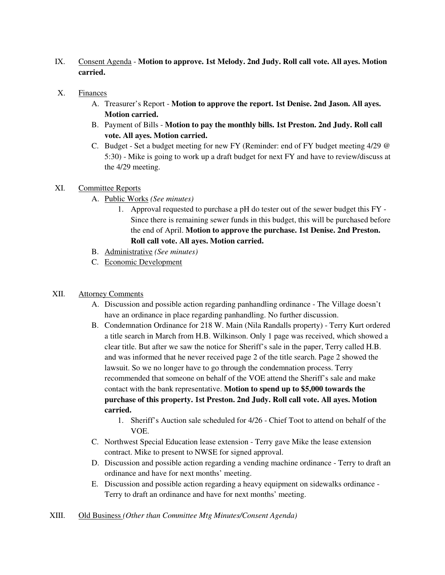- IX. Consent Agenda **Motion to approve. 1st Melody. 2nd Judy. Roll call vote. All ayes. Motion carried.**
- X. Finances
	- A. Treasurer's Report **Motion to approve the report. 1st Denise. 2nd Jason. All ayes. Motion carried.**
	- B. Payment of Bills **Motion to pay the monthly bills. 1st Preston. 2nd Judy. Roll call vote. All ayes. Motion carried.**
	- C. Budget Set a budget meeting for new FY (Reminder: end of FY budget meeting 4/29 @ 5:30) - Mike is going to work up a draft budget for next FY and have to review/discuss at the 4/29 meeting.
- XI. Committee Reports
	- A. Public Works *(See minutes)*
		- 1. Approval requested to purchase a pH do tester out of the sewer budget this FY Since there is remaining sewer funds in this budget, this will be purchased before the end of April. **Motion to approve the purchase. 1st Denise. 2nd Preston. Roll call vote. All ayes. Motion carried.**
	- B. Administrative *(See minutes)*
	- C. Economic Development

# XII. Attorney Comments

- A. Discussion and possible action regarding panhandling ordinance The Village doesn't have an ordinance in place regarding panhandling. No further discussion.
- B. Condemnation Ordinance for 218 W. Main (Nila Randalls property) Terry Kurt ordered a title search in March from H.B. Wilkinson. Only 1 page was received, which showed a clear title. But after we saw the notice for Sheriff's sale in the paper, Terry called H.B. and was informed that he never received page 2 of the title search. Page 2 showed the lawsuit. So we no longer have to go through the condemnation process. Terry recommended that someone on behalf of the VOE attend the Sheriff's sale and make contact with the bank representative. **Motion to spend up to \$5,000 towards the purchase of this property. 1st Preston. 2nd Judy. Roll call vote. All ayes. Motion carried.** 
	- 1. Sheriff's Auction sale scheduled for 4/26 Chief Toot to attend on behalf of the VOE.
- C. Northwest Special Education lease extension Terry gave Mike the lease extension contract. Mike to present to NWSE for signed approval.
- D. Discussion and possible action regarding a vending machine ordinance Terry to draft an ordinance and have for next months' meeting.
- E. Discussion and possible action regarding a heavy equipment on sidewalks ordinance Terry to draft an ordinance and have for next months' meeting.

XIII. Old Business *(Other than Committee Mtg Minutes/Consent Agenda)*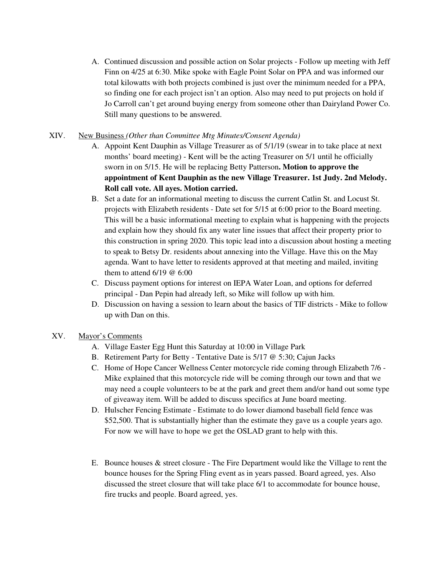A. Continued discussion and possible action on Solar projects - Follow up meeting with Jeff Finn on 4/25 at 6:30. Mike spoke with Eagle Point Solar on PPA and was informed our total kilowatts with both projects combined is just over the minimum needed for a PPA, so finding one for each project isn't an option. Also may need to put projects on hold if Jo Carroll can't get around buying energy from someone other than Dairyland Power Co. Still many questions to be answered.

### XIV. New Business *(Other than Committee Mtg Minutes/Consent Agenda)*

- A. Appoint Kent Dauphin as Village Treasurer as of 5/1/19 (swear in to take place at next months' board meeting) - Kent will be the acting Treasurer on 5/1 until he officially sworn in on 5/15. He will be replacing Betty Patterson**. Motion to approve the appointment of Kent Dauphin as the new Village Treasurer. 1st Judy. 2nd Melody. Roll call vote. All ayes. Motion carried.**
- B. Set a date for an informational meeting to discuss the current Catlin St. and Locust St. projects with Elizabeth residents - Date set for 5/15 at 6:00 prior to the Board meeting. This will be a basic informational meeting to explain what is happening with the projects and explain how they should fix any water line issues that affect their property prior to this construction in spring 2020. This topic lead into a discussion about hosting a meeting to speak to Betsy Dr. residents about annexing into the Village. Have this on the May agenda. Want to have letter to residents approved at that meeting and mailed, inviting them to attend 6/19 @ 6:00
- C. Discuss payment options for interest on IEPA Water Loan, and options for deferred principal - Dan Pepin had already left, so Mike will follow up with him.
- D. Discussion on having a session to learn about the basics of TIF districts Mike to follow up with Dan on this.

# XV. Mayor's Comments

- A. Village Easter Egg Hunt this Saturday at 10:00 in Village Park
- B. Retirement Party for Betty Tentative Date is 5/17 @ 5:30; Cajun Jacks
- C. Home of Hope Cancer Wellness Center motorcycle ride coming through Elizabeth 7/6 Mike explained that this motorcycle ride will be coming through our town and that we may need a couple volunteers to be at the park and greet them and/or hand out some type of giveaway item. Will be added to discuss specifics at June board meeting.
- D. Hulscher Fencing Estimate Estimate to do lower diamond baseball field fence was \$52,500. That is substantially higher than the estimate they gave us a couple years ago. For now we will have to hope we get the OSLAD grant to help with this.
- E. Bounce houses & street closure The Fire Department would like the Village to rent the bounce houses for the Spring Fling event as in years passed. Board agreed, yes. Also discussed the street closure that will take place 6/1 to accommodate for bounce house, fire trucks and people. Board agreed, yes.